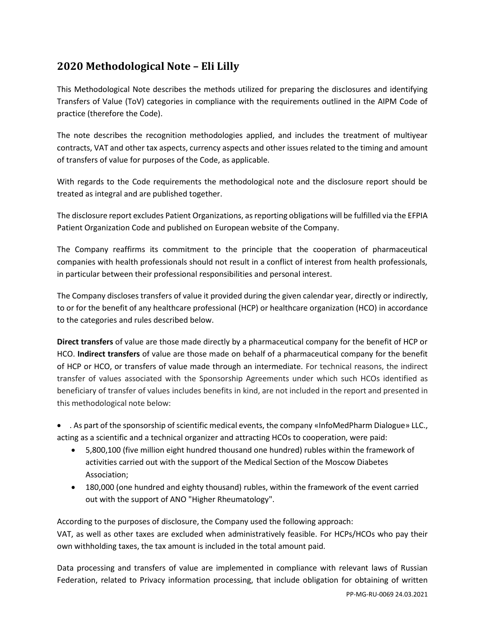# **2020 Methodological Note – Eli Lilly**

This Methodological Note describes the methods utilized for preparing the disclosures and identifying Transfers of Value (ToV) categories in compliance with the requirements outlined in the AIPM Code of practice (therefore the Code).

The note describes the recognition methodologies applied, and includes the treatment of multiyear contracts, VAT and other tax aspects, currency aspects and other issues related to the timing and amount of transfers of value for purposes of the Code, as applicable.

With regards to the Code requirements the methodological note and the disclosure report should be treated as integral and are published together.

The disclosure report excludes Patient Organizations, asreporting obligations will be fulfilled via the EFPIA Patient Organization Code and published on European website of the Company.

The Company reaffirms its commitment to the principle that the cooperation of pharmaceutical companies with health professionals should not result in a conflict of interest from health professionals, in particular between their professional responsibilities and personal interest.

The Company discloses transfers of value it provided during the given calendar year, directly or indirectly, to or for the benefit of any healthcare professional (HCP) or healthcare organization (HCO) in accordance to the categories and rules described below.

**Direct transfers** of value are those made directly by a pharmaceutical company for the benefit of HCP or HCO. **Indirect transfers** of value are those made on behalf of a pharmaceutical company for the benefit of HCP or HCO, or transfers of value made through an intermediate. For technical reasons, the indirect transfer of values associated with the Sponsorship Agreements under which such HCOs identified as beneficiary of transfer of values includes benefits in kind, are not included in the report and presented in this methodological note below:

• . As part of the sponsorship of scientific medical events, the company «InfoMedPharm Dialogue» LLC., acting as a scientific and a technical organizer and attracting HCOs to cooperation, were paid:

- 5,800,100 (five million eight hundred thousand one hundred) rubles within the framework of activities carried out with the support of the Medical Section of the Moscow Diabetes Association;
- 180,000 (one hundred and eighty thousand) rubles, within the framework of the event carried out with the support of ANO "Higher Rheumatology".

According to the purposes of disclosure, the Company used the following approach: VAT, as well as other taxes are excluded when administratively feasible. For HCPs/HCOs who pay their own withholding taxes, the tax amount is included in the total amount paid.

Data processing and transfers of value are implemented in compliance with relevant laws of Russian Federation, related to Privacy information processing, that include obligation for obtaining of written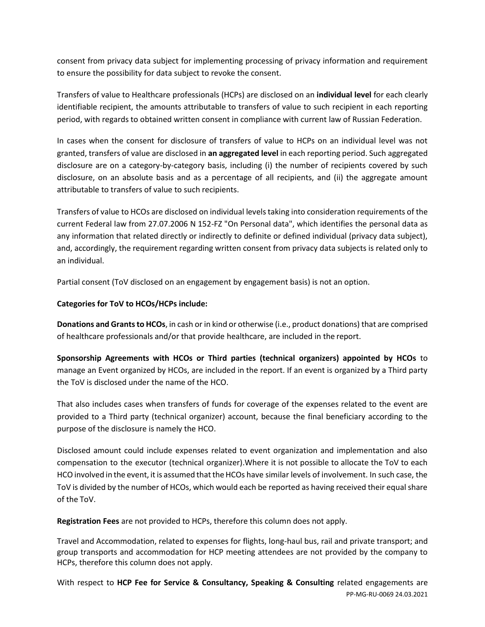consent from privacy data subject for implementing processing of privacy information and requirement to ensure the possibility for data subject to revoke the consent.

Transfers of value to Healthcare professionals (HCPs) are disclosed on an **individual level** for each clearly identifiable recipient, the amounts attributable to transfers of value to such recipient in each reporting period, with regards to obtained written consent in compliance with current law of Russian Federation.

In cases when the consent for disclosure of transfers of value to HCPs on an individual level was not granted, transfers of value are disclosed in **an aggregated level** in each reporting period. Such aggregated disclosure are on a category-by-category basis, including (i) the number of recipients covered by such disclosure, on an absolute basis and as a percentage of all recipients, and (ii) the aggregate amount attributable to transfers of value to such recipients.

Transfers of value to HCOs are disclosed on individual levelstaking into consideration requirements of the current Federal law from 27.07.2006 N 152-FZ "On Personal data", which identifies the personal data as any information that related directly or indirectly to definite or defined individual (privacy data subject), and, accordingly, the requirement regarding written consent from privacy data subjects is related only to an individual.

Partial consent (ToV disclosed on an engagement by engagement basis) is not an option.

### **Categories for ToV to HCOs/HCPs include:**

**Donations and Grantsto HCOs**, in cash or in kind or otherwise (i.e., product donations) that are comprised of healthcare professionals and/or that provide healthcare, are included in the report.

**Sponsorship Agreements with HCOs or Third parties (technical organizers) appointed by HCOs** to manage an Event organized by HCOs, are included in the report. If an event is organized by a Third party the ToV is disclosed under the name of the HCO.

That also includes cases when transfers of funds for coverage of the expenses related to the event are provided to a Third party (technical organizer) account, because the final beneficiary according to the purpose of the disclosure is namely the HCO.

Disclosed amount could include expenses related to event organization and implementation and also compensation to the executor (technical organizer).Where it is not possible to allocate the ToV to each HCO involved in the event, it is assumed that the HCOs have similar levels of involvement. In such case, the ToV is divided by the number of HCOs, which would each be reported as having received their equal share of the ToV.

**Registration Fees** are not provided to HCPs, therefore this column does not apply.

Travel and Accommodation, related to expenses for flights, long-haul bus, rail and private transport; and group transports and accommodation for HCP meeting attendees are not provided by the company to HCPs, therefore this column does not apply.

PP-MG-RU-0069 24.03.2021 With respect to **HCP Fee for Service & Consultancy, Speaking & Consulting** related engagements are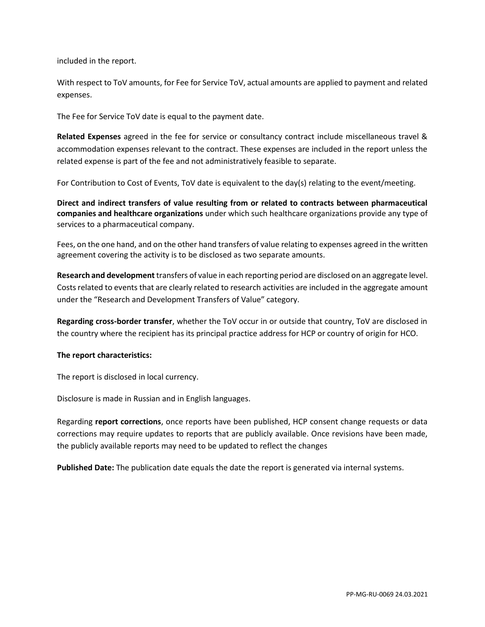included in the report.

With respect to ToV amounts, for Fee for Service ToV, actual amounts are applied to payment and related expenses.

The Fee for Service ToV date is equal to the payment date.

**Related Expenses** agreed in the fee for service or consultancy contract include miscellaneous travel & accommodation expenses relevant to the contract. These expenses are included in the report unless the related expense is part of the fee and not administratively feasible to separate.

For Contribution to Cost of Events, ToV date is equivalent to the day(s) relating to the event/meeting.

**Direct and indirect transfers of value resulting from or related to contracts between pharmaceutical companies and healthcare organizations** under which such healthcare organizations provide any type of services to a pharmaceutical company.

Fees, on the one hand, and on the other hand transfers of value relating to expenses agreed in the written agreement covering the activity is to be disclosed as two separate amounts.

**Research and development** transfers of value in each reporting period are disclosed on an aggregate level. Costs related to events that are clearly related to research activities are included in the aggregate amount under the "Research and Development Transfers of Value" category.

**Regarding cross-border transfer**, whether the ToV occur in or outside that country, ToV are disclosed in the country where the recipient has its principal practice address for HCP or country of origin for HCO.

### **The report characteristics:**

The report is disclosed in local currency.

Disclosure is made in Russian and in English languages.

Regarding **report corrections**, once reports have been published, HCP consent change requests or data corrections may require updates to reports that are publicly available. Once revisions have been made, the publicly available reports may need to be updated to reflect the changes

**Published Date:** The publication date equals the date the report is generated via internal systems.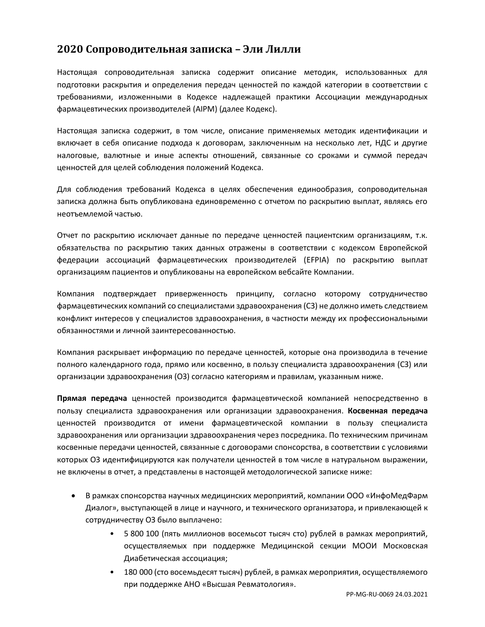## **2020 Сопроводительная записка – Эли Лилли**

Настоящая сопроводительная записка содержит описание методик, использованных для подготовки раскрытия и определения передач ценностей по каждой категории в соответствии с требованиями, изложенными в Кодексе надлежащей практики Ассоциации международных фармацевтических производителей (AIPM) (далее Кодекс).

Настоящая записка содержит, в том числе, описание применяемых методик идентификации и включает в себя описание подхода к договорам, заключенным на несколько лет, НДС и другие налоговые, валютные и иные аспекты отношений, связанные со сроками и суммой передач ценностей для целей соблюдения положений Кодекса.

Для соблюдения требований Кодекса в целях обеспечения единообразия, сопроводительная записка должна быть опубликована единовременно с отчетом по раскрытию выплат, являясь его неотъемлемой частью.

Отчет по раскрытию исключает данные по передаче ценностей пациентским организациям, т.к. обязательства по раскрытию таких данных отражены в соответствии с кодексом Европейской федерации ассоциаций фармацевтических производителей (EFPIA) по раскрытию выплат организациям пациентов и опубликованы на европейском вебсайте Компании.

Компания подтверждает приверженность принципу, согласно которому сотрудничество фармацевтических компаний со специалистами здравоохранения (СЗ) не должно иметь следствием конфликт интересов у специалистов здравоохранения, в частности между их профессиональными обязанностями и личной заинтересованностью.

Компания раскрывает информацию по передаче ценностей, которые она производила в течение полного календарного года, прямо или косвенно, в пользу специалиста здравоохранения (СЗ) или организации здравоохранения (ОЗ) согласно категориям и правилам, указанным ниже.

**Прямая передача** ценностей производится фармацевтической компанией непосредственно в пользу специалиста здравоохранения или организации здравоохранения. **Косвенная передача**  ценностей производится от имени фармацевтической компании в пользу специалиста здравоохранения или организации здравоохранения через посредника. По техническим причинам косвенные передачи ценностей, связанные с договорами спонсорства, в соответствии с условиями которых ОЗ идентифицируются как получатели ценностей в том числе в натуральном выражении, не включены в отчет, а представлены в настоящей методологической записке ниже:

- В рамках спонсорства научных медицинских мероприятий, компании ООО «ИнфоМедФарм Диалог», выступающей в лице и научного, и технического организатора, и привлекающей к сотрудничеству ОЗ было выплачено:
	- 5 800 100 (пять миллионов восемьсот тысяч сто) рублей в рамках мероприятий, осуществляемых при поддержке Медицинской секции МООИ Московская Диабетическая ассоциация;
	- 180 000 (сто восемьдесят тысяч) рублей, в рамках мероприятия, осуществляемого при поддержке АНО «Высшая Ревматология».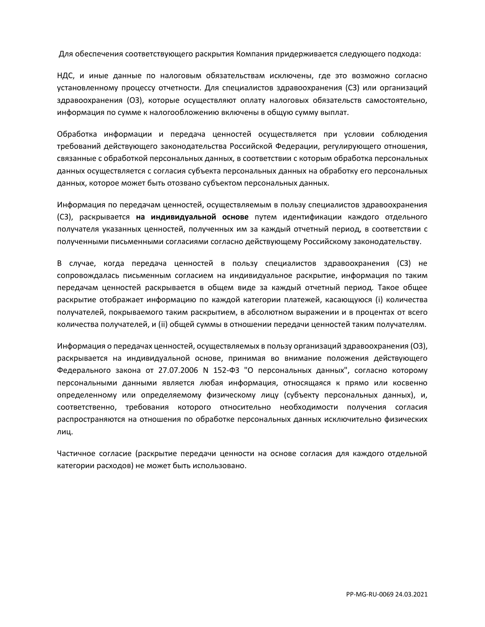Для обеспечения соответствующего раскрытия Компания придерживается следующего подхода:

НДС, и иные данные по налоговым обязательствам исключены, где это возможно согласно установленному процессу отчетности. Для специалистов здравоохранения (СЗ) или организаций здравоохранения (ОЗ), которые осуществляют оплату налоговых обязательств самостоятельно, информация по сумме к налогообложению включены в общую сумму выплат.

Обработка информации и передача ценностей осуществляется при условии соблюдения требований действующего законодательства Российской Федерации, регулирующего отношения, связанные с обработкой персональных данных, в соответствии с которым обработка персональных данных осуществляется с согласия субъекта персональных данных на обработку его персональных данных, которое может быть отозвано субъектом персональных данных.

Информация по передачам ценностей, осуществляемым в пользу специалистов здравоохранения (СЗ), раскрывается **на индивидуальной основе** путем идентификации каждого отдельного получателя указанных ценностей, полученных им за каждый отчетный период, в соответствии с полученными письменными согласиями согласно действующему Российскому законодательству.

В случае, когда передача ценностей в пользу специалистов здравоохранения (СЗ) не сопровождалась письменным согласием на индивидуальное раскрытие, информация по таким передачам ценностей раскрывается в общем виде за каждый отчетный период. Такое общее раскрытие отображает информацию по каждой категории платежей, касающуюся (i) количества получателей, покрываемого таким раскрытием, в абсолютном выражении и в процентах от всего количества получателей, и (ii) общей суммы в отношении передачи ценностей таким получателям.

Информация о передачах ценностей, осуществляемых в пользу организаций здравоохранения (ОЗ), раскрывается на индивидуальной основе, принимая во внимание положения действующего Федерального закона от 27.07.2006 N 152-ФЗ "О персональных данных", согласно которому персональными данными является любая информация, относящаяся к прямо или косвенно определенному или определяемому физическому лицу (субъекту персональных данных), и, соответственно, требования которого относительно необходимости получения согласия распространяются на отношения по обработке персональных данных исключительно физических лиц.

Частичное согласие (раскрытие передачи ценности на основе согласия для каждого отдельной категории расходов) не может быть использовано.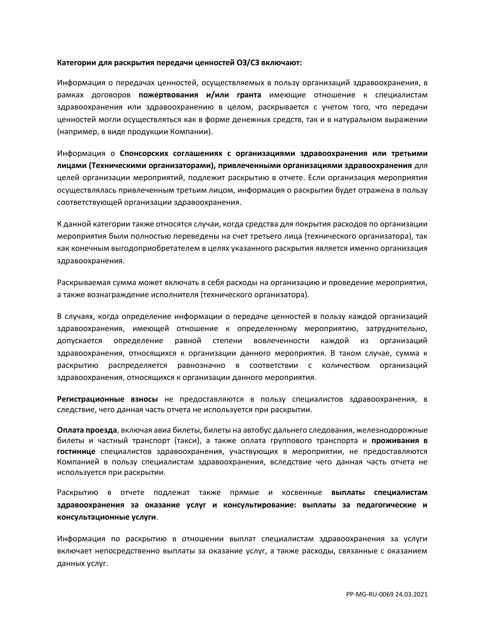### **Категории для раскрытия передачи ценностей ОЗ/СЗ включают:**

Информация о передачах ценностей, осуществляемых в пользу организаций здравоохранения, в рамках договоров **пожертвования и/или гранта** имеющие отношение к специалистам здравоохранения или здравоохранению в целом, раскрывается с учетом того, что передачи ценностей могли осуществляться как в форме денежных средств, так и в натуральном выражении (например, в виде продукции Компании).

Информация о **Спонсорских соглашениях с организациями здравоохранения или третьими лицами (Техническими организаторами), привлеченными организациями здравоохранения** для целей организации мероприятий, подлежит раскрытию в отчете. Если организация мероприятия осуществлялась привлеченным третьим лицом, информация о раскрытии будет отражена в пользу соответствующей организации здравоохранения.

К данной категории также относятся случаи, когда средства для покрытия расходов по организации мероприятия были полностью переведены на счет третьего лица (технического организатора), так как конечным выгодоприобретателем в целях указанного раскрытия является именно организация здравоохранения.

Раскрываемая сумма может включать в себя расходы на организацию и проведение мероприятия, а также вознаграждение исполнителя (технического организатора).

В случаях, когда определение информации о передаче ценностей в пользу каждой организаций здравоохранения, имеющей отношение к определенному мероприятию, затруднительно, допускается определение равной степени вовлеченности каждой из организаций здравоохранения, относящихся к организации данного мероприятия. В таком случае, сумма к раскрытию распределяется равнозначно в соответствии с количеством организаций здравоохранения, относящихся к организации данного мероприятия.

**Регистрационные взносы** не предоставляются в пользу специалистов здравоохранения, в следствие, чего данная часть отчета не используется при раскрытии.

**Оплата проезда**, включая авиа билеты, билеты на автобус дальнего следования, железнодорожные билеты и частный транспорт (такси), а также оплата группового транспорта и **проживания в гостинице** специалистов здравоохранения, участвующих в мероприятии, не предоставляются Компанией в пользу специалистам здравоохранения, вследствие чего данная часть отчета не используется при раскрытии.

Раскрытию в отчете подлежат также прямые и косвенные **выплаты специалистам здравоохранения за оказание услуг и консультирование: выплаты за педагогические и консультационные услуги**.

Информация по раскрытию в отношении выплат специалистам здравоохранения за услуги включает непосредственно выплаты за оказание услуг, а также расходы, связанные с оказанием данных услуг.